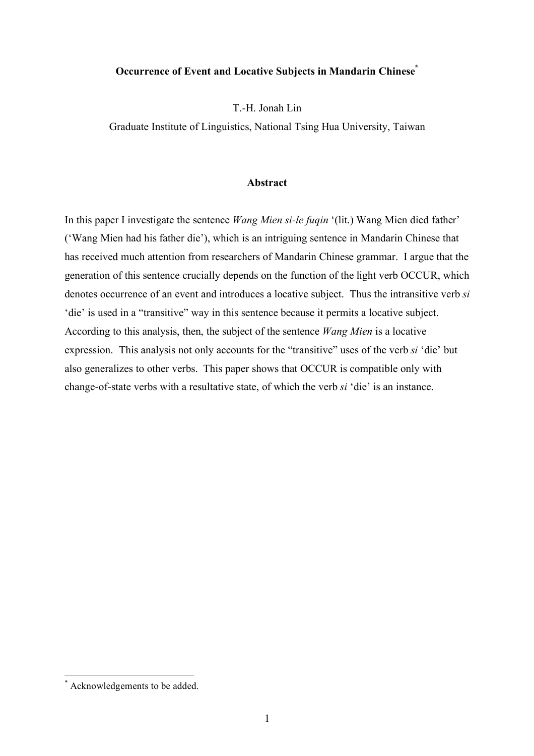# **Occurrence of Event and Locative Subjects in Mandarin Chinese\***

T.-H. Jonah Lin

Graduate Institute of Linguistics, National Tsing Hua University, Taiwan

## **Abstract**

In this paper I investigate the sentence *Wang Mien si-le fuqin* '(lit.) Wang Mien died father' ('Wang Mien had his father die'), which is an intriguing sentence in Mandarin Chinese that has received much attention from researchers of Mandarin Chinese grammar. I argue that the generation of this sentence crucially depends on the function of the light verb OCCUR, which denotes occurrence of an event and introduces a locative subject. Thus the intransitive verb *si* 'die' is used in a "transitive" way in this sentence because it permits a locative subject. According to this analysis, then, the subject of the sentence *Wang Mien* is a locative expression. This analysis not only accounts for the "transitive" uses of the verb *si* 'die' but also generalizes to other verbs. This paper shows that OCCUR is compatible only with change-of-state verbs with a resultative state, of which the verb *si* 'die' is an instance.

 <sup>\*</sup> Acknowledgements to be added.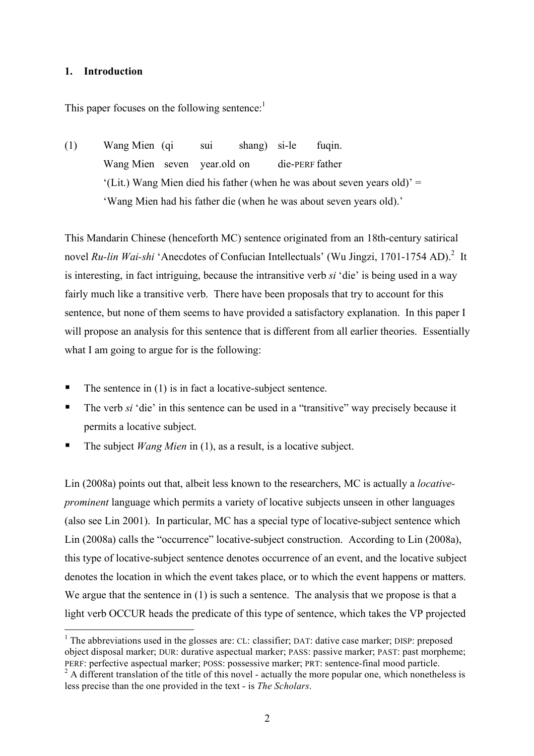## **1. Introduction**

This paper focuses on the following sentence:<sup>1</sup>

(1) Wang Mien (qi sui shang) si-le fuqin. Wang Mien seven year.old on die-PERF father  $(Lit.)$  Wang Mien died his father (when he was about seven years old)' = 'Wang Mien had his father die (when he was about seven years old).'

This Mandarin Chinese (henceforth MC) sentence originated from an 18th-century satirical novel *Ru-lin Wai-shi* 'Anecdotes of Confucian Intellectuals' (Wu Jingzi, 1701-1754 AD).<sup>2</sup> It is interesting, in fact intriguing, because the intransitive verb *si* 'die' is being used in a way fairly much like a transitive verb. There have been proposals that try to account for this sentence, but none of them seems to have provided a satisfactory explanation. In this paper I will propose an analysis for this sentence that is different from all earlier theories. Essentially what I am going to argue for is the following:

- $\blacksquare$  The sentence in (1) is in fact a locative-subject sentence.
- The verb *si* 'die' in this sentence can be used in a "transitive" way precisely because it permits a locative subject.
- The subject *Wang Mien* in (1), as a result, is a locative subject.

Lin (2008a) points out that, albeit less known to the researchers, MC is actually a *locativeprominent* language which permits a variety of locative subjects unseen in other languages (also see Lin 2001). In particular, MC has a special type of locative-subject sentence which Lin (2008a) calls the "occurrence" locative-subject construction. According to Lin (2008a), this type of locative-subject sentence denotes occurrence of an event, and the locative subject denotes the location in which the event takes place, or to which the event happens or matters. We argue that the sentence in (1) is such a sentence. The analysis that we propose is that a light verb OCCUR heads the predicate of this type of sentence, which takes the VP projected

 $\frac{1}{1}$  $<sup>1</sup>$  The abbreviations used in the glosses are: CL: classifier; DAT: dative case marker; DISP: preposed</sup> object disposal marker; DUR: durative aspectual marker; PASS: passive marker; PAST: past morpheme; PERF: perfective aspectual marker; POSS: possessive marker; PRT: sentence-final mood particle.

 $2^2$  A different translation of the title of this novel - actually the more popular one, which nonetheless is less precise than the one provided in the text - is *The Scholars*.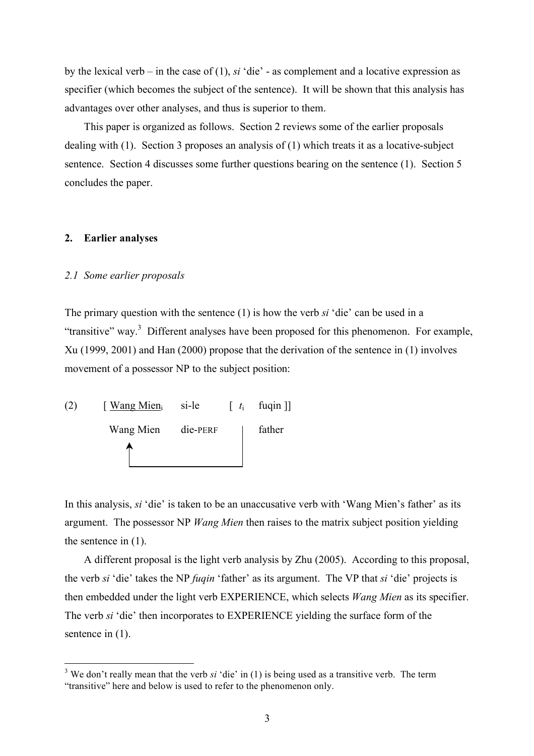by the lexical verb – in the case of (1), *si* 'die' - as complement and a locative expression as specifier (which becomes the subject of the sentence). It will be shown that this analysis has advantages over other analyses, and thus is superior to them.

This paper is organized as follows. Section 2 reviews some of the earlier proposals dealing with (1). Section 3 proposes an analysis of (1) which treats it as a locative-subject sentence. Section 4 discusses some further questions bearing on the sentence (1). Section 5 concludes the paper.

## **2. Earlier analyses**

#### *2.1 Some earlier proposals*

The primary question with the sentence (1) is how the verb *si* 'die' can be used in a "transitive" way.<sup>3</sup> Different analyses have been proposed for this phenomenon. For example, Xu (1999, 2001) and Han (2000) propose that the derivation of the sentence in (1) involves movement of a possessor NP to the subject position:



In this analysis, *si* 'die' is taken to be an unaccusative verb with 'Wang Mien's father' as its argument. The possessor NP *Wang Mien* then raises to the matrix subject position yielding the sentence in (1).

A different proposal is the light verb analysis by Zhu (2005). According to this proposal, the verb *si* 'die' takes the NP *fuqin* 'father' as its argument. The VP that *si* 'die' projects is then embedded under the light verb EXPERIENCE, which selects *Wang Mien* as its specifier. The verb *si* 'die' then incorporates to EXPERIENCE yielding the surface form of the sentence in  $(1)$ .

<sup>&</sup>lt;sup>3</sup> <sup>3</sup> We don't really mean that the verb *si* 'die' in (1) is being used as a transitive verb. The term "transitive" here and below is used to refer to the phenomenon only.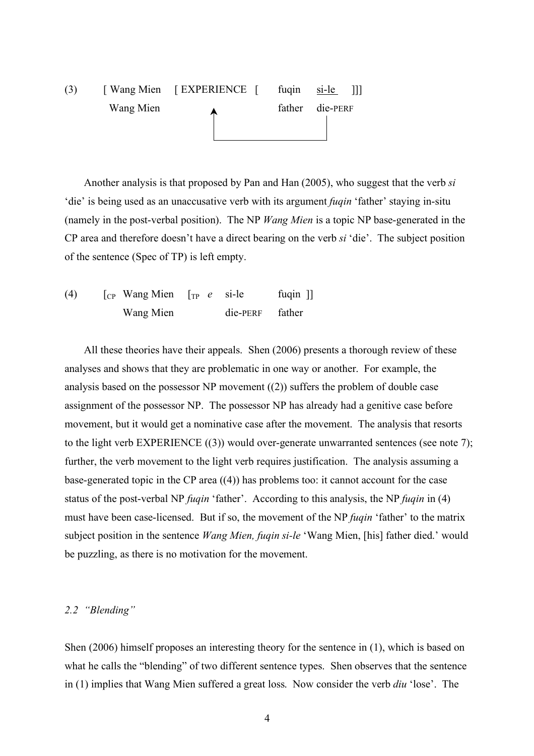# (3) [ Wang Mien [ EXPERIENCE [ fuqin si-le ]]] Wang Mien and America and Sample Tather die-PERF

Another analysis is that proposed by Pan and Han (2005), who suggest that the verb *si* 'die' is being used as an unaccusative verb with its argument *fuqin* 'father' staying in-situ (namely in the post-verbal position). The NP *Wang Mien* is a topic NP base-generated in the CP area and therefore doesn't have a direct bearing on the verb *si* 'die'. The subject position of the sentence (Spec of TP) is left empty.

(4) [CP Wang Mien [TP *e* si-le fuqin ]] Wang Mien die-PERF father

All these theories have their appeals. Shen (2006) presents a thorough review of these analyses and shows that they are problematic in one way or another. For example, the analysis based on the possessor NP movement ((2)) suffers the problem of double case assignment of the possessor NP. The possessor NP has already had a genitive case before movement, but it would get a nominative case after the movement. The analysis that resorts to the light verb EXPERIENCE ((3)) would over-generate unwarranted sentences (see note 7); further, the verb movement to the light verb requires justification. The analysis assuming a base-generated topic in the CP area ((4)) has problems too: it cannot account for the case status of the post-verbal NP *fuqin* 'father'. According to this analysis, the NP *fuqin* in (4) must have been case-licensed. But if so, the movement of the NP *fuqin* 'father' to the matrix subject position in the sentence *Wang Mien, fuqin si-le* 'Wang Mien, [his] father died.' would be puzzling, as there is no motivation for the movement.

## *2.2 "Blending"*

Shen (2006) himself proposes an interesting theory for the sentence in (1), which is based on what he calls the "blending" of two different sentence types. Shen observes that the sentence in (1) implies that Wang Mien suffered a great loss. Now consider the verb *diu* 'lose'. The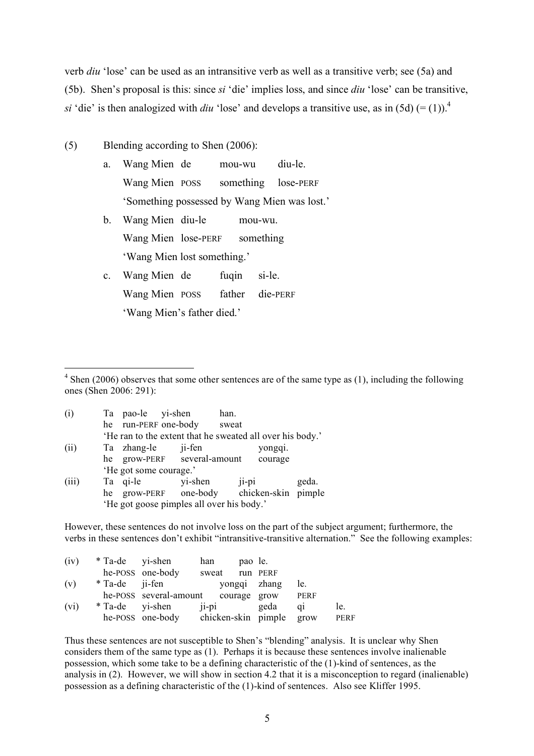verb *diu* 'lose' can be used as an intransitive verb as well as a transitive verb; see (5a) and (5b). Shen's proposal is this: since *si* 'die' implies loss, and since *diu* 'lose' can be transitive, *si* 'die' is then analogized with *diu* 'lose' and develops a transitive use, as in (5d)  $(=(1))$ .<sup>4</sup>

- (5) Blending according to Shen (2006):
	- a. Wang Mien de mou-wu diu-le. Wang Mien POSS something lose-PERF 'Something possessed by Wang Mien was lost.'
	- b. Wang Mien diu-le mou-wu. Wang Mien lose-PERF something 'Wang Mien lost something.'
	- c. Wang Mien de fuqin si-le. Wang Mien POSS father die-PERF 'Wang Mien's father died.'

 $\frac{1}{4}$  $4$  Shen (2006) observes that some other sentences are of the same type as (1), including the following ones (Shen 2006: 291):

| (i)   |    | Ta pao-le yi-shen      |        | han.                                                      |       |         |       |
|-------|----|------------------------|--------|-----------------------------------------------------------|-------|---------|-------|
|       |    | he run-PERF one-body   |        | sweat                                                     |       |         |       |
|       |    |                        |        | 'He ran to the extent that he sweated all over his body.' |       |         |       |
| (ii)  |    | Ta zhang-le            | ji-fen |                                                           |       | yongqi. |       |
|       |    |                        |        | he grow-PERF several-amount                               |       | courage |       |
|       |    | 'He got some courage.' |        |                                                           |       |         |       |
| (iii) |    | Ta qi-le               |        | yi-shen                                                   | ji-pi |         | geda. |
|       | he |                        |        | grow-PERF one-body chicken-skin pimple                    |       |         |       |
|       |    |                        |        | 'He got goose pimples all over his body.'                 |       |         |       |

However, these sentences do not involve loss on the part of the subject argument; furthermore, the verbs in these sentences don't exhibit "intransitive-transitive alternation." See the following examples:

| (iv) | * Ta-de yi-shen |                                           | han            | pao le. |              |       |      |
|------|-----------------|-------------------------------------------|----------------|---------|--------------|-------|------|
|      |                 | he-POSS one-body                          | sweat run PERF |         |              |       |      |
| (v)  | * Ta-de ji-fen  |                                           |                |         | yongqi zhang | le.   |      |
|      |                 | he-POSS several-amount courage grow PERF  |                |         |              |       |      |
| (vi) | * Ta-de yi-shen |                                           | ii-pi          |         | geda         | $q_1$ | le.  |
|      |                 | he-POSS one-body chicken-skin pimple grow |                |         |              |       | PERF |

Thus these sentences are not susceptible to Shen's "blending" analysis. It is unclear why Shen considers them of the same type as (1). Perhaps it is because these sentences involve inalienable possession, which some take to be a defining characteristic of the (1)-kind of sentences, as the analysis in (2). However, we will show in section 4.2 that it is a misconception to regard (inalienable) possession as a defining characteristic of the (1)-kind of sentences. Also see Kliffer 1995.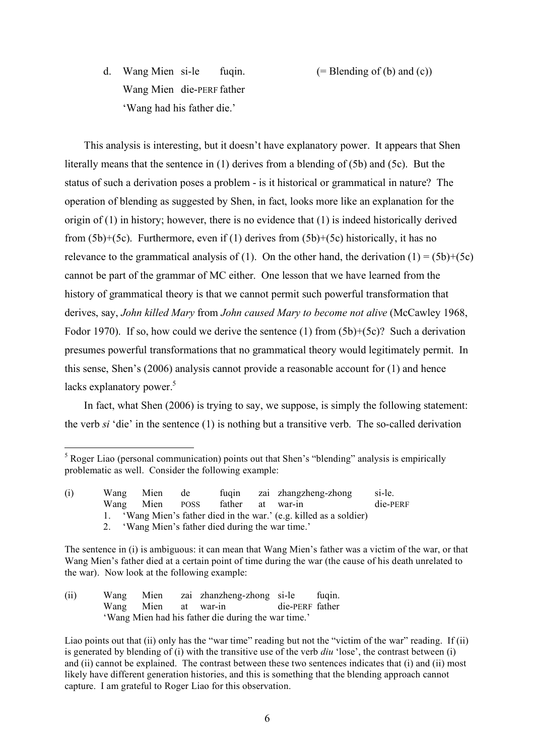d. Wang Mien si-le fuqin.  $(= \text{Blending of } (b) \text{ and } (c))$ Wang Mien die-PERF father 'Wang had his father die.'

This analysis is interesting, but it doesn't have explanatory power. It appears that Shen literally means that the sentence in (1) derives from a blending of (5b) and (5c). But the status of such a derivation poses a problem - is it historical or grammatical in nature? The operation of blending as suggested by Shen, in fact, looks more like an explanation for the origin of (1) in history; however, there is no evidence that (1) is indeed historically derived from  $(5b)+(5c)$ . Furthermore, even if (1) derives from  $(5b)+(5c)$  historically, it has no relevance to the grammatical analysis of (1). On the other hand, the derivation (1) =  $(5b)+(5c)$ cannot be part of the grammar of MC either. One lesson that we have learned from the history of grammatical theory is that we cannot permit such powerful transformation that derives, say, *John killed Mary* from *John caused Mary to become not alive* (McCawley 1968, Fodor 1970). If so, how could we derive the sentence (1) from (5b)+(5c)? Such a derivation presumes powerful transformations that no grammatical theory would legitimately permit. In this sense, Shen's (2006) analysis cannot provide a reasonable account for (1) and hence lacks explanatory power. $5$ 

In fact, what Shen (2006) is trying to say, we suppose, is simply the following statement: the verb *si* 'die' in the sentence (1) is nothing but a transitive verb. The so-called derivation

(ii) Wang Mien zai zhanzheng-zhong si-le fuqin. Wang Mien at war-in die-PERF father 'Wang Mien had his father die during the war time.'

 <sup>5</sup>  $<sup>5</sup>$  Roger Liao (personal communication) points out that Shen's "blending" analysis is empirically</sup> problematic as well. Consider the following example:

<sup>(</sup>i) Wang Mien de fuqin zai zhangzheng-zhong si-le. Wang Mien POSS father at war-in die-PERF 1. 'Wang Mien's father died in the war.' (e.g. killed as a soldier) 2. 'Wang Mien's father died during the war time.'

The sentence in (i) is ambiguous: it can mean that Wang Mien's father was a victim of the war, or that Wang Mien's father died at a certain point of time during the war (the cause of his death unrelated to the war). Now look at the following example:

Liao points out that (ii) only has the "war time" reading but not the "victim of the war" reading. If (ii) is generated by blending of (i) with the transitive use of the verb *diu* 'lose', the contrast between (i) and (ii) cannot be explained. The contrast between these two sentences indicates that (i) and (ii) most likely have different generation histories, and this is something that the blending approach cannot capture. I am grateful to Roger Liao for this observation.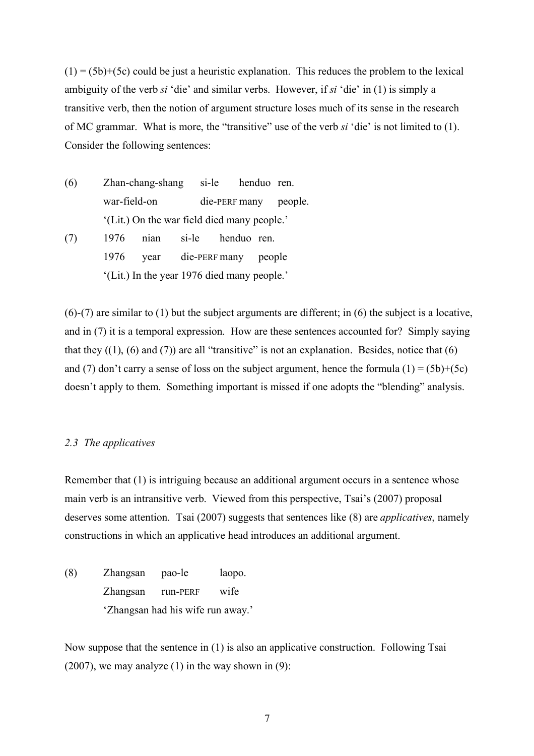$(1) = (5b)+(5c)$  could be just a heuristic explanation. This reduces the problem to the lexical ambiguity of the verb *si* 'die' and similar verbs. However, if *si* 'die' in (1) is simply a transitive verb, then the notion of argument structure loses much of its sense in the research of MC grammar. What is more, the "transitive" use of the verb *si* 'die' is not limited to (1). Consider the following sentences:

- (6) Zhan-chang-shang si-le henduo ren. war-field-on die-PERF many people. '(Lit.) On the war field died many people.'
- (7) 1976 nian si-le henduo ren. 1976 year die-PERF many people '(Lit.) In the year 1976 died many people.'

(6)-(7) are similar to (1) but the subject arguments are different; in (6) the subject is a locative, and in (7) it is a temporal expression. How are these sentences accounted for? Simply saying that they  $((1), (6)$  and  $(7))$  are all "transitive" is not an explanation. Besides, notice that  $(6)$ and (7) don't carry a sense of loss on the subject argument, hence the formula (1) = (5b)+(5c) doesn't apply to them. Something important is missed if one adopts the "blending" analysis.

## *2.3 The applicatives*

Remember that (1) is intriguing because an additional argument occurs in a sentence whose main verb is an intransitive verb. Viewed from this perspective, Tsai's (2007) proposal deserves some attention. Tsai (2007) suggests that sentences like (8) are *applicatives*, namely constructions in which an applicative head introduces an additional argument.

(8) Zhangsan pao-le laopo. Zhangsan run-PERF wife 'Zhangsan had his wife run away.'

Now suppose that the sentence in (1) is also an applicative construction. Following Tsai  $(2007)$ , we may analyze  $(1)$  in the way shown in  $(9)$ :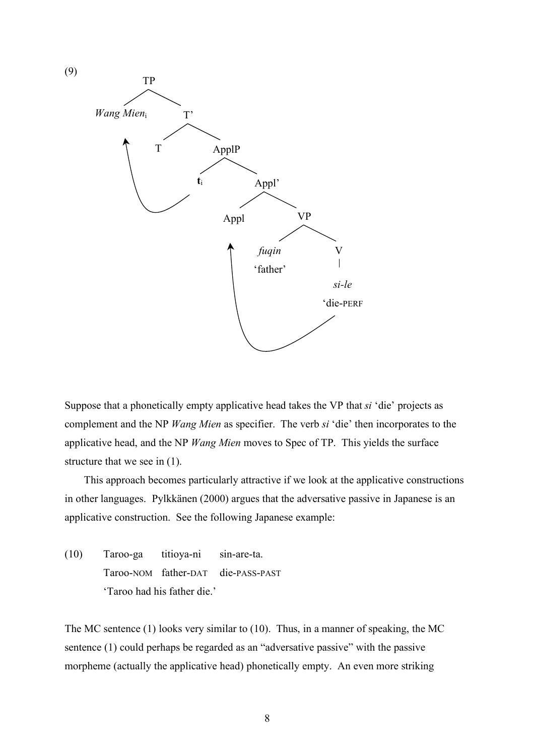

Suppose that a phonetically empty applicative head takes the VP that *si* 'die' projects as complement and the NP *Wang Mien* as specifier. The verb *si* 'die' then incorporates to the applicative head, and the NP *Wang Mien* moves to Spec of TP. This yields the surface structure that we see in (1).

This approach becomes particularly attractive if we look at the applicative constructions in other languages. Pylkkänen (2000) argues that the adversative passive in Japanese is an applicative construction. See the following Japanese example:

(10) Taroo-ga titioya-ni sin-are-ta. Taroo-NOM father-DAT die-PASS-PAST 'Taroo had his father die.'

The MC sentence (1) looks very similar to (10). Thus, in a manner of speaking, the MC sentence (1) could perhaps be regarded as an "adversative passive" with the passive morpheme (actually the applicative head) phonetically empty. An even more striking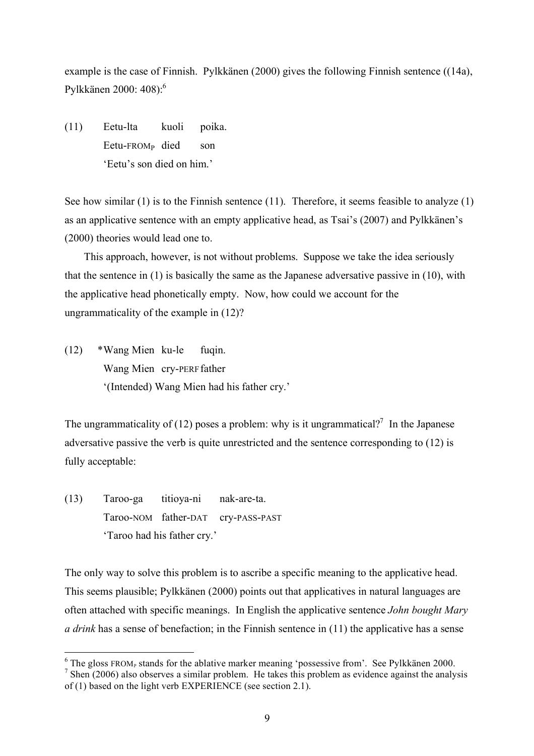example is the case of Finnish. Pylkkänen (2000) gives the following Finnish sentence ((14a), Pylkkänen 2000: 408):6

(11) Eetu-lta kuoli poika. Eetu-FROMP died son 'Eetu's son died on him.'

See how similar (1) is to the Finnish sentence (11). Therefore, it seems feasible to analyze (1) as an applicative sentence with an empty applicative head, as Tsai's (2007) and Pylkkänen's (2000) theories would lead one to.

This approach, however, is not without problems. Suppose we take the idea seriously that the sentence in (1) is basically the same as the Japanese adversative passive in (10), with the applicative head phonetically empty. Now, how could we account for the ungrammaticality of the example in (12)?

(12) \*Wang Mien ku-le fuqin. Wang Mien cry-PERF father '(Intended) Wang Mien had his father cry.'

The ungrammaticality of (12) poses a problem: why is it ungrammatical?<sup>7</sup> In the Japanese adversative passive the verb is quite unrestricted and the sentence corresponding to (12) is fully acceptable:

(13) Taroo-ga titioya-ni nak-are-ta. Taroo-NOM father-DAT cry-PASS-PAST 'Taroo had his father cry.'

The only way to solve this problem is to ascribe a specific meaning to the applicative head. This seems plausible; Pylkkänen (2000) points out that applicatives in natural languages are often attached with specific meanings. In English the applicative sentence *John bought Mary a drink* has a sense of benefaction; in the Finnish sentence in (11) the applicative has a sense

 <sup>6</sup>  $6$  The gloss FROM<sub>P</sub> stands for the ablative marker meaning 'possessive from'. See Pylkkänen 2000.

 $<sup>7</sup>$  Shen (2006) also observes a similar problem. He takes this problem as evidence against the analysis</sup> of (1) based on the light verb EXPERIENCE (see section 2.1).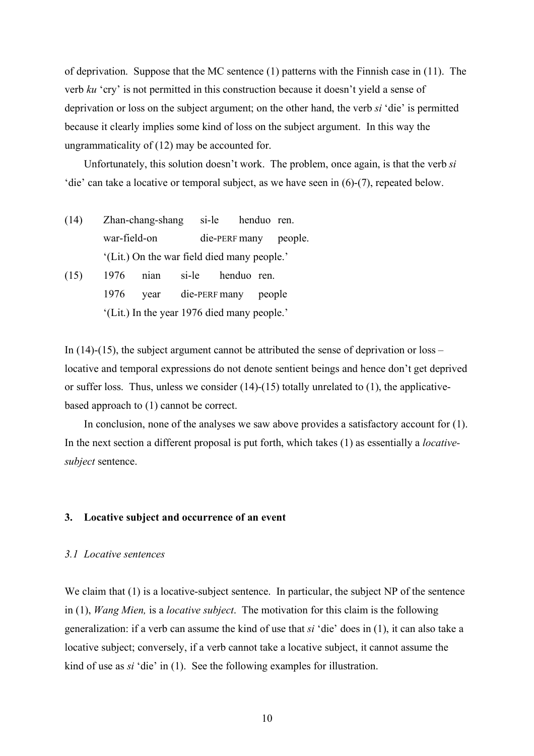of deprivation. Suppose that the MC sentence (1) patterns with the Finnish case in (11). The verb *ku* 'cry' is not permitted in this construction because it doesn't yield a sense of deprivation or loss on the subject argument; on the other hand, the verb *si* 'die' is permitted because it clearly implies some kind of loss on the subject argument. In this way the ungrammaticality of (12) may be accounted for.

Unfortunately, this solution doesn't work. The problem, once again, is that the verb *si* 'die' can take a locative or temporal subject, as we have seen in (6)-(7), repeated below.

- (14) Zhan-chang-shang si-le henduo ren. war-field-on die-PERF many people. '(Lit.) On the war field died many people.'
- (15) 1976 nian si-le henduo ren. 1976 year die-PERF many people '(Lit.) In the year 1976 died many people.'

In (14)-(15), the subject argument cannot be attributed the sense of deprivation or loss – locative and temporal expressions do not denote sentient beings and hence don't get deprived or suffer loss. Thus, unless we consider (14)-(15) totally unrelated to (1), the applicativebased approach to (1) cannot be correct.

In conclusion, none of the analyses we saw above provides a satisfactory account for (1). In the next section a different proposal is put forth, which takes (1) as essentially a *locativesubject* sentence.

## **3. Locative subject and occurrence of an event**

## *3.1 Locative sentences*

We claim that (1) is a locative-subject sentence. In particular, the subject NP of the sentence in (1), *Wang Mien,* is a *locative subject*. The motivation for this claim is the following generalization: if a verb can assume the kind of use that *si* 'die' does in (1), it can also take a locative subject; conversely, if a verb cannot take a locative subject, it cannot assume the kind of use as *si* 'die' in (1). See the following examples for illustration.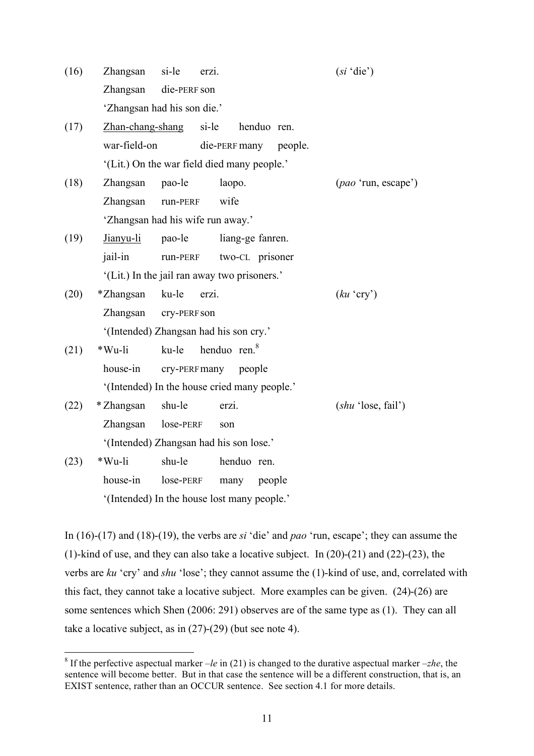| (16) | Zhangsan                    | si-le        | erzi.                                        | $(s_i \text{ 'die'})$       |
|------|-----------------------------|--------------|----------------------------------------------|-----------------------------|
|      | Zhangsan                    | die-PERF son |                                              |                             |
|      | 'Zhangsan had his son die.' |              |                                              |                             |
| (17) | Zhan-chang-shang            |              | si-le<br>henduo ren.                         |                             |
|      | war-field-on                |              | die-PERF many<br>people.                     |                             |
|      |                             |              | (Lit.) On the war field died many people.'   |                             |
| (18) | Zhangsan                    | pao-le       | laopo.                                       | ( <i>pao</i> 'run, escape') |
|      | Zhangsan                    | run-PERF     | wife                                         |                             |
|      |                             |              | 'Zhangsan had his wife run away.'            |                             |
| (19) | Jianyu-li                   | pao-le       | liang-ge fanren.                             |                             |
|      | jail-in                     | run-PERF     | two-CL prisoner                              |                             |
|      |                             |              | '(Lit.) In the jail ran away two prisoners.' |                             |
| (20) | *Zhangsan                   | ku-le        | erzi.                                        | $(ku \text{ 'cry'})$        |
|      | Zhangsan                    | cry-PERF son |                                              |                             |
|      |                             |              | '(Intended) Zhangsan had his son cry.'       |                             |
| (21) | *Wu-li                      | ku-le        | henduo ren. <sup>8</sup>                     |                             |
|      | house-in                    |              | cry-PERFmany people                          |                             |
|      |                             |              | '(Intended) In the house cried many people.' |                             |
| (22) | * Zhangsan                  | shu-le       | erzi.                                        | (shu 'lose, fail')          |
|      | Zhangsan                    | lose-PERF    | son                                          |                             |
|      |                             |              | '(Intended) Zhangsan had his son lose.'      |                             |
| (23) | *Wu-li                      | shu-le       | henduo ren.                                  |                             |
|      | house-in                    | lose-PERF    | people<br>many                               |                             |

In (16)-(17) and (18)-(19), the verbs are *si* 'die' and *pao* 'run, escape'; they can assume the (1)-kind of use, and they can also take a locative subject. In (20)-(21) and (22)-(23), the verbs are *ku* 'cry' and *shu* 'lose'; they cannot assume the (1)-kind of use, and, correlated with this fact, they cannot take a locative subject. More examples can be given. (24)-(26) are some sentences which Shen (2006: 291) observes are of the same type as (1). They can all take a locative subject, as in (27)-(29) (but see note 4).

'(Intended) In the house lost many people.'

 <sup>8</sup> <sup>8</sup> If the perfective aspectual marker  $-le$  in (21) is changed to the durative aspectual marker  $-zh$ e, the sentence will become better. But in that case the sentence will be a different construction, that is, an EXIST sentence, rather than an OCCUR sentence. See section 4.1 for more details.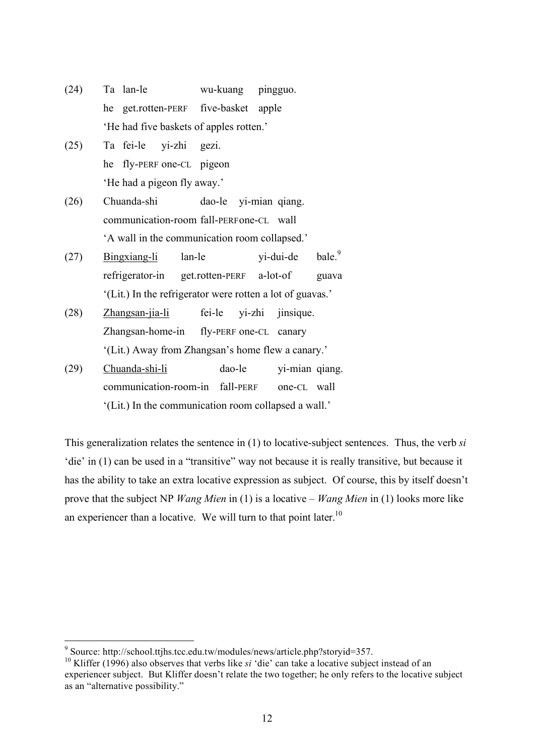- (24) Ta lan-le wu-kuang pingguo. he get.rotten-PERF five-basket apple 'He had five baskets of apples rotten.'
- (25) Ta fei-le yi-zhi gezi. he fly-PERF one-CL pigeon 'He had a pigeon fly away.'
- (26) Chuanda-shi dao-le yi-mian qiang. communication-room fall-PERFone-CL wall 'A wall in the communication room collapsed.'
- (27) Bingxiang-li lan-le  $yi$ -dui-de bale.<sup>9</sup> refrigerator-in get.rotten-PERF a-lot-of guava '(Lit.) In the refrigerator were rotten a lot of guavas.'
- (28) Zhangsan-jia-li fei-le yi-zhi jinsique. Zhangsan-home-in fly-PERF one-CL canary '(Lit.) Away from Zhangsan's home flew a canary.'
- (29) Chuanda-shi-li dao-le yi-mian qiang. communication-room-in fall-PERF one-CL wall '(Lit.) In the communication room collapsed a wall.'

This generalization relates the sentence in (1) to locative-subject sentences. Thus, the verb *si* 'die' in (1) can be used in a "transitive" way not because it is really transitive, but because it has the ability to take an extra locative expression as subject. Of course, this by itself doesn't prove that the subject NP *Wang Mien* in (1) is a locative – *Wang Mien* in (1) looks more like an experiencer than a locative. We will turn to that point later.<sup>10</sup>

<sup>-&</sup>lt;br>9 Source: http://school.ttjhs.tcc.edu.tw/modules/news/article.php?storyid=357.

<sup>&</sup>lt;sup>10</sup> Kliffer (1996) also observes that verbs like *si* 'die' can take a locative subject instead of an experiencer subject. But Kliffer doesn't relate the two together; he only refers to the locative subject as an "alternative possibility."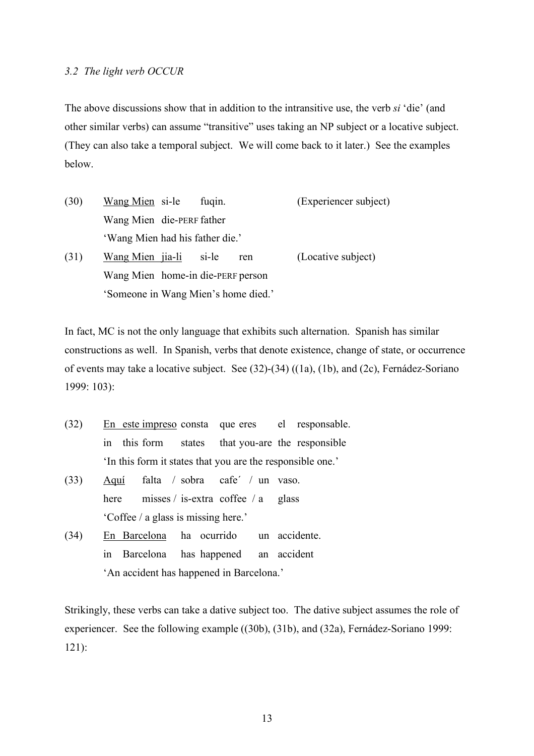#### *3.2 The light verb OCCUR*

The above discussions show that in addition to the intransitive use, the verb *si* 'die' (and other similar verbs) can assume "transitive" uses taking an NP subject or a locative subject. (They can also take a temporal subject. We will come back to it later.) See the examples below.

| (30) | Wang Mien si-le<br>fugin.           | (Experiencer subject) |
|------|-------------------------------------|-----------------------|
|      | Wang Mien die-PERF father           |                       |
|      | 'Wang Mien had his father die.'     |                       |
| (31) | Wang Mien jia-li<br>si-le<br>ren    | (Locative subject)    |
|      | Wang Mien home-in die-PERF person   |                       |
|      | 'Someone in Wang Mien's home died.' |                       |

In fact, MC is not the only language that exhibits such alternation. Spanish has similar constructions as well. In Spanish, verbs that denote existence, change of state, or occurrence of events may take a locative subject. See (32)-(34) ((1a), (1b), and (2c), Fernádez-Soriano 1999: 103):

- (32) En este impreso consta que eres el responsable. in this form states that you-are the responsible 'In this form it states that you are the responsible one.'
- (33) Aquí falta / sobra cafe´ / un vaso. here misses / is-extra coffee / a glass 'Coffee / a glass is missing here.'
- (34) En Barcelona ha ocurrido un accidente. in Barcelona has happened an accident 'An accident has happened in Barcelona.'

Strikingly, these verbs can take a dative subject too. The dative subject assumes the role of experiencer. See the following example ((30b), (31b), and (32a), Fernádez-Soriano 1999: 121):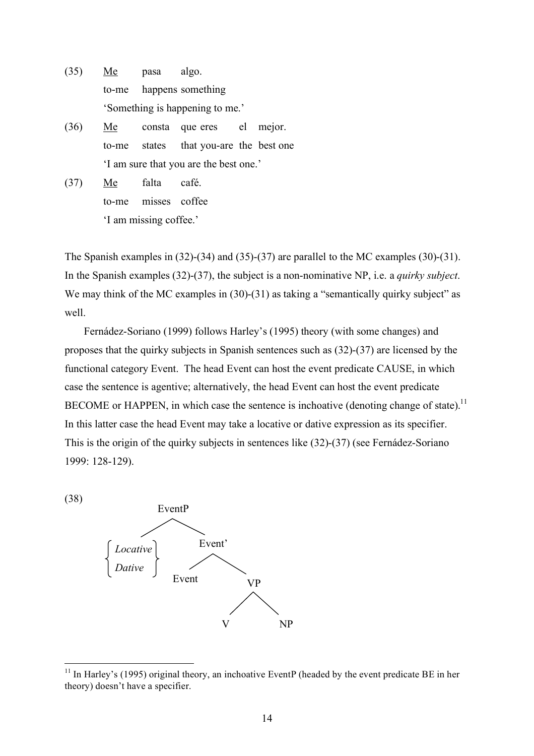- (35) Me pasa algo. to-me happens something 'Something is happening to me.'
- (36) Me consta que eres el mejor. to-me states that you-are the best one 'I am sure that you are the best one.'
- (37) Me falta café. to-me misses coffee 'I am missing coffee.'

The Spanish examples in (32)-(34) and (35)-(37) are parallel to the MC examples (30)-(31). In the Spanish examples (32)-(37), the subject is a non-nominative NP, i.e. a *quirky subject*. We may think of the MC examples in (30)-(31) as taking a "semantically quirky subject" as well.

Fernádez-Soriano (1999) follows Harley's (1995) theory (with some changes) and proposes that the quirky subjects in Spanish sentences such as (32)-(37) are licensed by the functional category Event. The head Event can host the event predicate CAUSE, in which case the sentence is agentive; alternatively, the head Event can host the event predicate BECOME or HAPPEN, in which case the sentence is inchoative (denoting change of state).<sup>11</sup> In this latter case the head Event may take a locative or dative expression as its specifier. This is the origin of the quirky subjects in sentences like (32)-(37) (see Fernádez-Soriano 1999: 128-129).

(38)



 $11$  In Harley's (1995) original theory, an inchoative EventP (headed by the event predicate BE in her theory) doesn't have a specifier.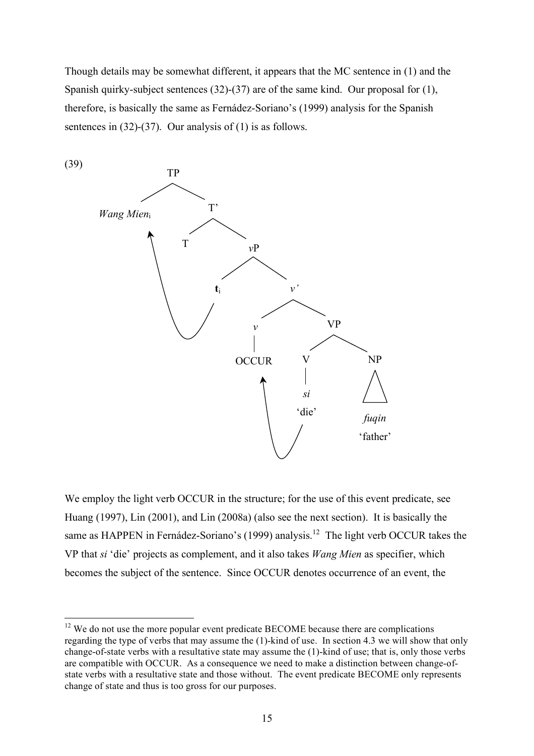Though details may be somewhat different, it appears that the MC sentence in (1) and the Spanish quirky-subject sentences (32)-(37) are of the same kind. Our proposal for (1), therefore, is basically the same as Fernádez-Soriano's (1999) analysis for the Spanish sentences in (32)-(37). Our analysis of (1) is as follows.



We employ the light verb OCCUR in the structure; for the use of this event predicate, see Huang (1997), Lin (2001), and Lin (2008a) (also see the next section). It is basically the same as HAPPEN in Fernádez-Soriano's (1999) analysis.<sup>12</sup> The light verb OCCUR takes the VP that *si* 'die' projects as complement, and it also takes *Wang Mien* as specifier, which becomes the subject of the sentence. Since OCCUR denotes occurrence of an event, the

 $12$  We do not use the more popular event predicate BECOME because there are complications regarding the type of verbs that may assume the (1)-kind of use. In section 4.3 we will show that only change-of-state verbs with a resultative state may assume the (1)-kind of use; that is, only those verbs are compatible with OCCUR. As a consequence we need to make a distinction between change-ofstate verbs with a resultative state and those without. The event predicate BECOME only represents change of state and thus is too gross for our purposes.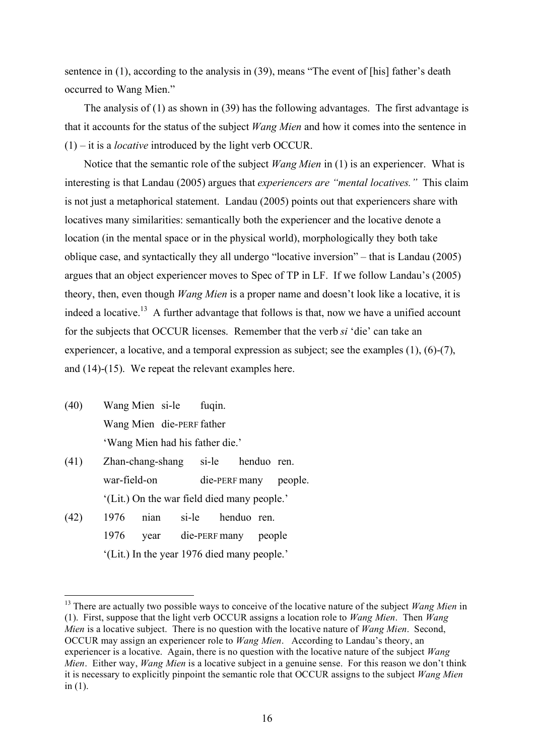sentence in (1), according to the analysis in (39), means "The event of [his] father's death occurred to Wang Mien."

The analysis of (1) as shown in (39) has the following advantages. The first advantage is that it accounts for the status of the subject *Wang Mien* and how it comes into the sentence in (1) – it is a *locative* introduced by the light verb OCCUR.

Notice that the semantic role of the subject *Wang Mien* in (1) is an experiencer. What is interesting is that Landau (2005) argues that *experiencers are "mental locatives."* This claim is not just a metaphorical statement. Landau (2005) points out that experiencers share with locatives many similarities: semantically both the experiencer and the locative denote a location (in the mental space or in the physical world), morphologically they both take oblique case, and syntactically they all undergo "locative inversion" – that is Landau (2005) argues that an object experiencer moves to Spec of TP in LF. If we follow Landau's (2005) theory, then, even though *Wang Mien* is a proper name and doesn't look like a locative, it is indeed a locative.<sup>13</sup> A further advantage that follows is that, now we have a unified account for the subjects that OCCUR licenses. Remember that the verb *si* 'die' can take an experiencer, a locative, and a temporal expression as subject; see the examples (1), (6)-(7), and (14)-(15). We repeat the relevant examples here.

- (40) Wang Mien si-le fuqin. Wang Mien die-PERF father 'Wang Mien had his father die.'
- (41) Zhan-chang-shang si-le henduo ren. war-field-on die-PERF many people. '(Lit.) On the war field died many people.'
- (42) 1976 nian si-le henduo ren. 1976 year die-PERF many people '(Lit.) In the year 1976 died many people.'

<sup>&</sup>lt;sup>13</sup> There are actually two possible ways to conceive of the locative nature of the subject *Wang Mien* in (1). First, suppose that the light verb OCCUR assigns a location role to *Wang Mien*. Then *Wang Mien* is a locative subject. There is no question with the locative nature of *Wang Mien*. Second, OCCUR may assign an experiencer role to *Wang Mien*. According to Landau's theory, an experiencer is a locative. Again, there is no question with the locative nature of the subject *Wang Mien*. Either way, *Wang Mien* is a locative subject in a genuine sense. For this reason we don't think it is necessary to explicitly pinpoint the semantic role that OCCUR assigns to the subject *Wang Mien* in (1).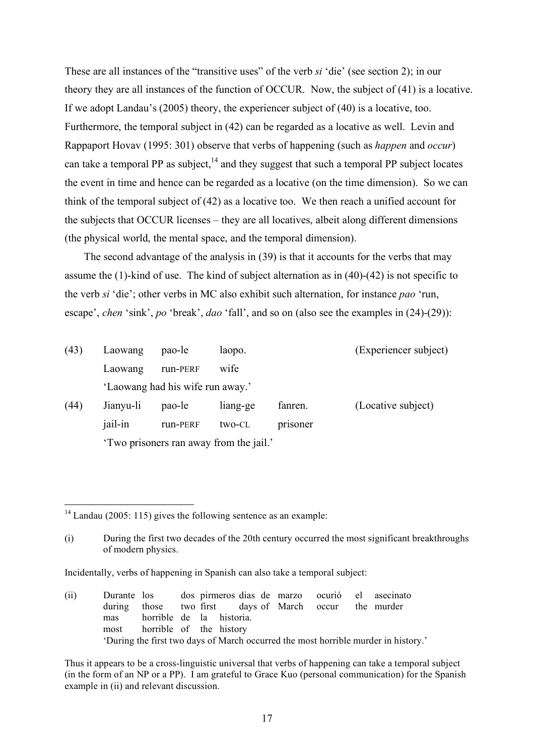These are all instances of the "transitive uses" of the verb *si* 'die' (see section 2); in our theory they are all instances of the function of OCCUR. Now, the subject of (41) is a locative. If we adopt Landau's (2005) theory, the experiencer subject of (40) is a locative, too. Furthermore, the temporal subject in (42) can be regarded as a locative as well. Levin and Rappaport Hovav (1995: 301) observe that verbs of happening (such as *happen* and *occur*) can take a temporal PP as subject.<sup>14</sup> and they suggest that such a temporal PP subject locates the event in time and hence can be regarded as a locative (on the time dimension). So we can think of the temporal subject of (42) as a locative too. We then reach a unified account for the subjects that OCCUR licenses – they are all locatives, albeit along different dimensions (the physical world, the mental space, and the temporal dimension).

The second advantage of the analysis in (39) is that it accounts for the verbs that may assume the (1)-kind of use. The kind of subject alternation as in (40)-(42) is not specific to the verb *si* 'die'; other verbs in MC also exhibit such alternation, for instance *pao* 'run, escape', *chen* 'sink', *po* 'break', *dao* 'fall', and so on (also see the examples in (24)-(29)):

| (43) | Laowang                                 | pao-le                           | laopo.   |          | (Experiencer subject) |  |
|------|-----------------------------------------|----------------------------------|----------|----------|-----------------------|--|
|      | Laowang                                 | run-PERF                         | wife     |          |                       |  |
|      |                                         | 'Laowang had his wife run away.' |          |          |                       |  |
| (44) | Jianyu-li                               | pao-le                           | liang-ge | fanren.  | (Locative subject)    |  |
|      | jail-in                                 | run-PERF                         | two-CL   | prisoner |                       |  |
|      | 'Two prisoners ran away from the jail.' |                                  |          |          |                       |  |

 $14$  Landau (2005: 115) gives the following sentence as an example:

<sup>(</sup>i) During the first two decades of the 20th century occurred the most significant breakthroughs of modern physics.

Incidentally, verbs of happening in Spanish can also take a temporal subject:

<sup>(</sup>ii) Durante los dos pirmeros dias de marzo ocurió el asecinato during those two first days of March occur the murder mas horrible de la historia. most horrible of the history 'During the first two days of March occurred the most horrible murder in history.'

Thus it appears to be a cross-linguistic universal that verbs of happening can take a temporal subject (in the form of an NP or a PP). I am grateful to Grace Kuo (personal communication) for the Spanish example in (ii) and relevant discussion.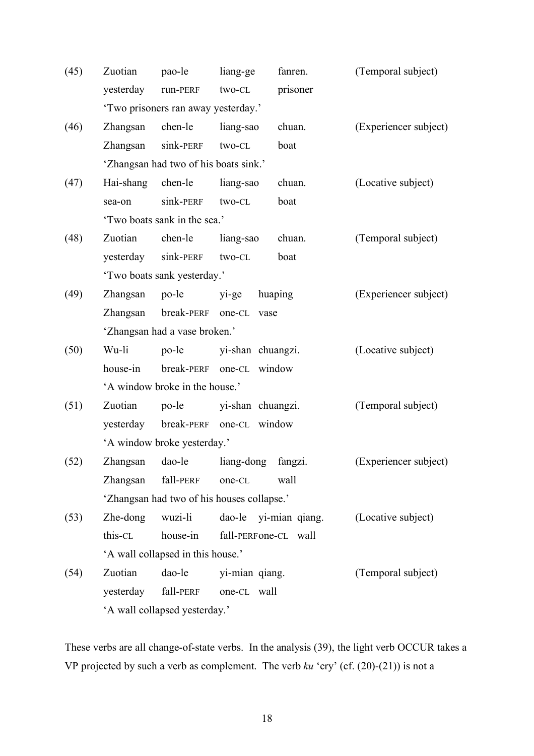| (45) | Zuotian     | pao-le                                     | liang-ge                 | fanren.  | (Temporal subject)    |
|------|-------------|--------------------------------------------|--------------------------|----------|-----------------------|
|      | yesterday   | run-PERF                                   | two-CL                   | prisoner |                       |
|      |             | 'Two prisoners ran away yesterday.'        |                          |          |                       |
| (46) | Zhangsan    | chen-le                                    | liang-sao                | chuan.   | (Experiencer subject) |
|      | Zhangsan    | sink-PERF                                  | two-CL                   | boat     |                       |
|      |             | 'Zhangsan had two of his boats sink.'      |                          |          |                       |
| (47) | Hai-shang   | chen-le                                    | liang-sao                | chuan.   | (Locative subject)    |
|      | sea-on      | sink-PERF                                  | two-CL                   | boat     |                       |
|      |             | 'Two boats sank in the sea.'               |                          |          |                       |
| (48) | Zuotian     | chen-le                                    | liang-sao                | chuan.   | (Temporal subject)    |
|      |             | yesterday sink-PERF two-CL                 |                          | boat     |                       |
|      |             | 'Two boats sank yesterday.'                |                          |          |                       |
| (49) | Zhangsan    | po-le                                      | yi-ge                    | huaping  | (Experiencer subject) |
|      | Zhangsan    |                                            | break-PERF one-CL vase   |          |                       |
|      |             | 'Zhangsan had a vase broken.'              |                          |          |                       |
| (50) | Wu-li       | po-le                                      | yi-shan chuangzi.        |          | (Locative subject)    |
|      | house-in    |                                            | break-PERF one-CL window |          |                       |
|      |             | 'A window broke in the house.'             |                          |          |                       |
| (51) | Zuotian     | $po$ -le                                   | yi-shan chuangzi.        |          | (Temporal subject)    |
|      |             | yesterday break-PERF one-CL window         |                          |          |                       |
|      |             | 'A window broke yesterday.'                |                          |          |                       |
| (52) |             | Zhangsan dao-le                            | liang-dong fangzi.       |          | (Experiencer subject) |
|      | Zhangsan    | fall-perf                                  | one-CL                   | wall     |                       |
|      |             | 'Zhangsan had two of his houses collapse.' |                          |          |                       |
| (53) | $Zhe$ -dong | wuzi-li                                    | dao-le yi-mian qiang.    |          | (Locative subject)    |
|      | this-CL     | house-in                                   | fall-PERFone-CL wall     |          |                       |
|      |             | 'A wall collapsed in this house.'          |                          |          |                       |
| (54) | Zuotian     | dao-le                                     | yi-mian qiang.           |          | (Temporal subject)    |
|      | yesterday   | fall-PERF                                  | one-CL wall              |          |                       |
|      |             | 'A wall collapsed yesterday.'              |                          |          |                       |

These verbs are all change-of-state verbs. In the analysis (39), the light verb OCCUR takes a VP projected by such a verb as complement. The verb *ku* 'cry' (cf. (20)-(21)) is not a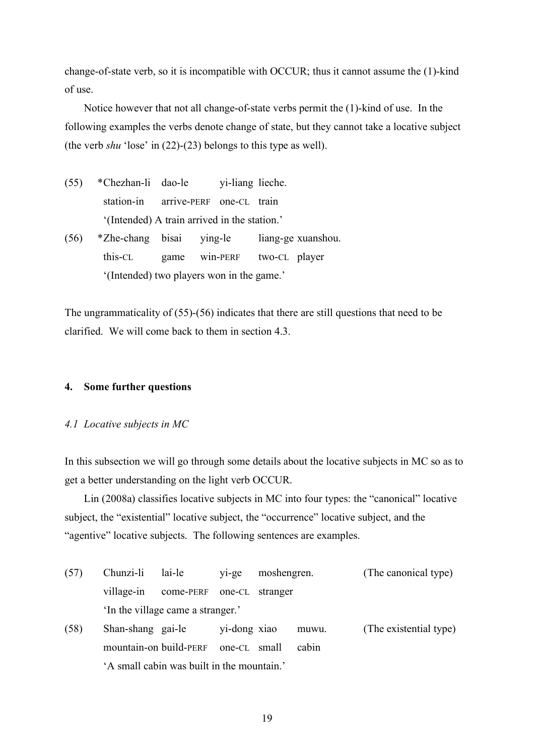change-of-state verb, so it is incompatible with OCCUR; thus it cannot assume the (1)-kind of use.

Notice however that not all change-of-state verbs permit the (1)-kind of use. In the following examples the verbs denote change of state, but they cannot take a locative subject (the verb *shu* 'lose' in (22)-(23) belongs to this type as well).

(55) \*Chezhan-li dao-le yi-liang lieche. station-in arrive-PERF one-CL train '(Intended) A train arrived in the station.' (56) \*Zhe-chang bisai ying-le liang-ge xuanshou. this-CL game win-PERF two-CL player '(Intended) two players won in the game.'

The ungrammaticality of (55)-(56) indicates that there are still questions that need to be clarified. We will come back to them in section 4.3.

## **4. Some further questions**

## *4.1 Locative subjects in MC*

In this subsection we will go through some details about the locative subjects in MC so as to get a better understanding on the light verb OCCUR.

Lin (2008a) classifies locative subjects in MC into four types: the "canonical" locative subject, the "existential" locative subject, the "occurrence" locative subject, and the "agentive" locative subjects. The following sentences are examples.

| (57) | Chunzi-li lai-le |                                                                                    | yi-ge moshengren. | (The canonical type)                    |
|------|------------------|------------------------------------------------------------------------------------|-------------------|-----------------------------------------|
|      |                  | village-in come-PERF one-CL stranger                                               |                   |                                         |
|      |                  | 'In the village came a stranger.'                                                  |                   |                                         |
| (50) |                  | $\Omega_{\text{hom}}$ above equile $\Omega_{\text{min}}$ and $\Omega_{\text{max}}$ | <b>1003337733</b> | (Tha, a <b>vi</b> ational <b>trma</b> ) |

(58) Shan-shang gai-le yi-dong xiao muwu. (The existential type) mountain-on build-PERF one-CL small cabin 'A small cabin was built in the mountain.'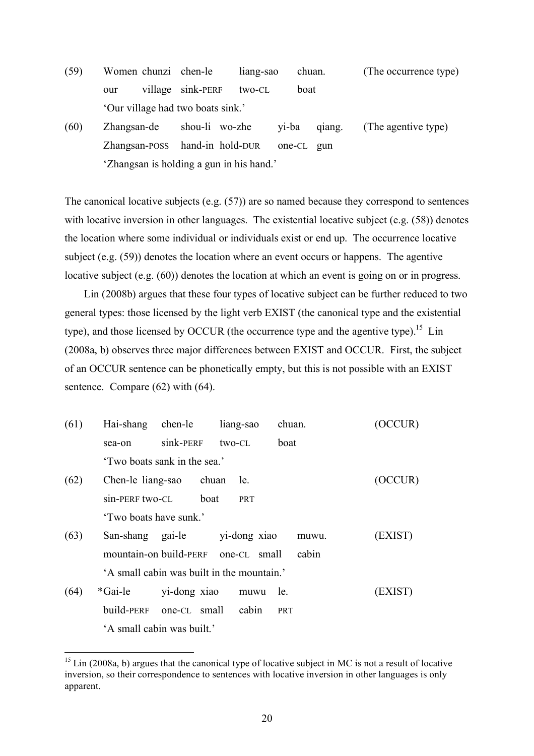- (59) Women chunzi chen-le liang-sao chuan. (The occurrence type) our village sink-PERF two-CL boat 'Our village had two boats sink.'
- (60) Zhangsan-de shou-li wo-zhe yi-ba qiang. (The agentive type) Zhangsan-POSS hand-in hold-DUR one-CL gun 'Zhangsan is holding a gun in his hand.'

The canonical locative subjects (e.g. (57)) are so named because they correspond to sentences with locative inversion in other languages. The existential locative subject (e.g. (58)) denotes the location where some individual or individuals exist or end up. The occurrence locative subject (e.g. (59)) denotes the location where an event occurs or happens. The agentive locative subject (e.g. (60)) denotes the location at which an event is going on or in progress.

Lin (2008b) argues that these four types of locative subject can be further reduced to two general types: those licensed by the light verb EXIST (the canonical type and the existential type), and those licensed by OCCUR (the occurrence type and the agentive type).<sup>15</sup> Lin (2008a, b) observes three major differences between EXIST and OCCUR. First, the subject of an OCCUR sentence can be phonetically empty, but this is not possible with an EXIST sentence. Compare (62) with (64).

| (61) |                        | Hai-shang chen-le liang-sao  |                                            | chuan. | (OCCUR) |
|------|------------------------|------------------------------|--------------------------------------------|--------|---------|
|      | sea-on                 | sink-PERF                    | two-CL                                     | boat   |         |
|      |                        | 'Two boats sank in the sea.' |                                            |        |         |
| (62) | Chen-le liang-sao      | chuan                        | le.                                        |        | (OCCUR) |
|      | sin-PERF two-CL        | boat                         | PRT                                        |        |         |
|      | 'Two boats have sunk.' |                              |                                            |        |         |
| (63) |                        |                              | San-shang gai-le yi-dong xiao              | muwu.  | (EXIST) |
|      |                        |                              | mountain-on build-PERF one-CL small        | cabin  |         |
|      |                        |                              | 'A small cabin was built in the mountain.' |        |         |
| (64) | *Gai-le                | yi-dong xiao                 | muwu                                       | le.    | (EXIST) |
|      |                        | build-PERF one-CL small      | cabin                                      | PRT    |         |
|      |                        | 'A small cabin was built.'   |                                            |        |         |

 $15$  Lin (2008a, b) argues that the canonical type of locative subject in MC is not a result of locative inversion, so their correspondence to sentences with locative inversion in other languages is only apparent.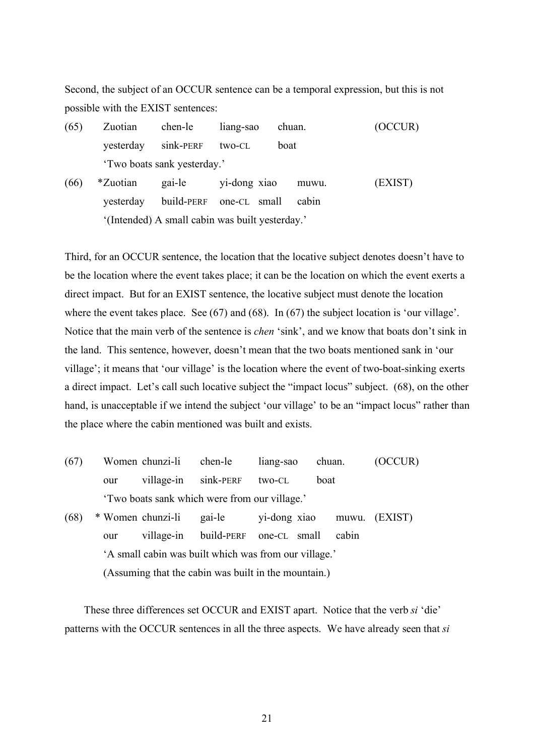Second, the subject of an OCCUR sentence can be a temporal expression, but this is not possible with the EXIST sentences:

- (65) Zuotian chen-le liang-sao chuan. (OCCUR) yesterday sink-PERF two-CL boat 'Two boats sank yesterday.'
- (66) \*Zuotian gai-le yi-dong xiao muwu. (EXIST) yesterday build-PERF one-CL small cabin '(Intended) A small cabin was built yesterday.'

Third, for an OCCUR sentence, the location that the locative subject denotes doesn't have to be the location where the event takes place; it can be the location on which the event exerts a direct impact. But for an EXIST sentence, the locative subject must denote the location where the event takes place. See (67) and (68). In (67) the subject location is 'our village'. Notice that the main verb of the sentence is *chen* 'sink', and we know that boats don't sink in the land. This sentence, however, doesn't mean that the two boats mentioned sank in 'our village'; it means that 'our village' is the location where the event of two-boat-sinking exerts a direct impact. Let's call such locative subject the "impact locus" subject. (68), on the other hand, is unacceptable if we intend the subject 'our village' to be an "impact locus" rather than the place where the cabin mentioned was built and exists.

(67) Women chunzi-li chen-le liang-sao chuan. (OCCUR) our village-in sink-PERF two-CL boat 'Two boats sank which were from our village.' (68) \* Women chunzi-li gai-le yi-dong xiao muwu. (EXIST) our village-in build-PERF one-CL small cabin 'A small cabin was built which was from our village.' (Assuming that the cabin was built in the mountain.)

These three differences set OCCUR and EXIST apart. Notice that the verb *si* 'die' patterns with the OCCUR sentences in all the three aspects. We have already seen that *si*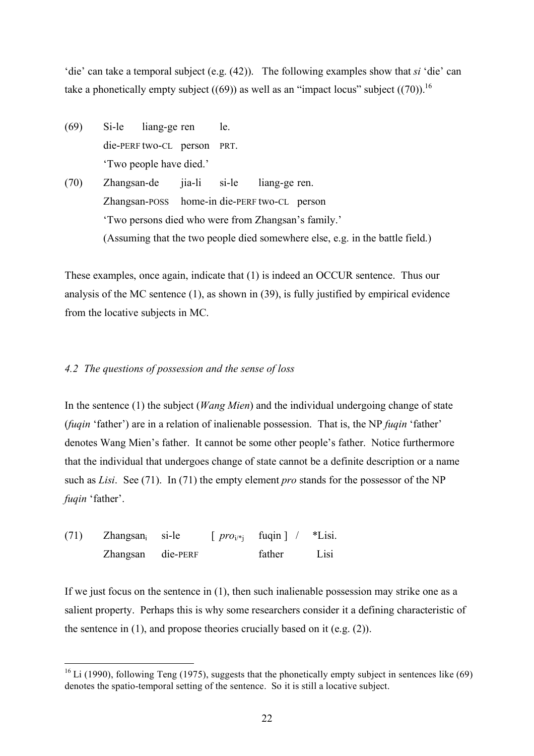'die' can take a temporal subject (e.g. (42)). The following examples show that *si* 'die' can take a phonetically empty subject ((69)) as well as an "impact locus" subject ((70)).<sup>16</sup>

- (69) Si-le liang-ge ren le. die-PERF two-CL person PRT. 'Two people have died.'
- (70) Zhangsan-de jia-li si-le liang-ge ren. Zhangsan-POSS home-in die-PERF two-CL person 'Two persons died who were from Zhangsan's family.' (Assuming that the two people died somewhere else, e.g. in the battle field.)

These examples, once again, indicate that (1) is indeed an OCCUR sentence. Thus our analysis of the MC sentence (1), as shown in (39), is fully justified by empirical evidence from the locative subjects in MC.

# *4.2 The questions of possession and the sense of loss*

In the sentence (1) the subject (*Wang Mien*) and the individual undergoing change of state (*fuqin* 'father') are in a relation of inalienable possession. That is, the NP *fuqin* 'father' denotes Wang Mien's father. It cannot be some other people's father. Notice furthermore that the individual that undergoes change of state cannot be a definite description or a name such as *Lisi*. See (71). In (71) the empty element *pro* stands for the possessor of the NP *fuqin* 'father'.

| (71) | $Z$ hangsan <sub>i</sub> si-le |  | $\lceil \text{proj}_{i} \rceil$ fuqin $\lceil \text{sign} \rceil$ *Lisi. |      |  |
|------|--------------------------------|--|--------------------------------------------------------------------------|------|--|
|      | Zhangsan die-PERF              |  | father                                                                   | Lisi |  |

If we just focus on the sentence in (1), then such inalienable possession may strike one as a salient property. Perhaps this is why some researchers consider it a defining characteristic of the sentence in  $(1)$ , and propose theories crucially based on it (e.g.  $(2)$ ).

 $16$  Li (1990), following Teng (1975), suggests that the phonetically empty subject in sentences like (69) denotes the spatio-temporal setting of the sentence. So it is still a locative subject.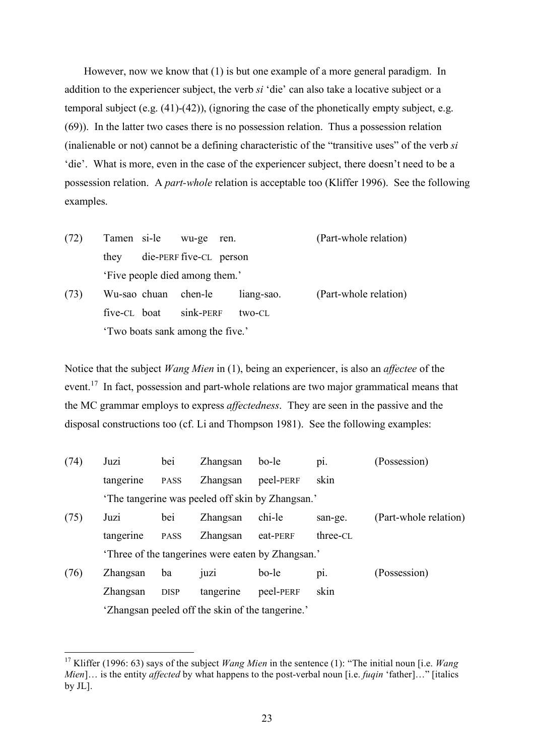However, now we know that (1) is but one example of a more general paradigm. In addition to the experiencer subject, the verb *si* 'die' can also take a locative subject or a temporal subject (e.g. (41)-(42)), (ignoring the case of the phonetically empty subject, e.g. (69)). In the latter two cases there is no possession relation. Thus a possession relation (inalienable or not) cannot be a defining characteristic of the "transitive uses" of the verb *si* 'die'. What is more, even in the case of the experiencer subject, there doesn't need to be a possession relation. A *part-whole* relation is acceptable too (Kliffer 1996). See the following examples.

(72) Tamen si-le wu-ge ren. (Part-whole relation) they die-PERF five-CL person 'Five people died among them.' (73) Wu-sao chuan chen-le liang-sao. (Part-whole relation) five-CL boat sink-PERF two-CL

'Two boats sank among the five.'

Notice that the subject *Wang Mien* in (1), being an experiencer, is also an *affectee* of the event.<sup>17</sup> In fact, possession and part-whole relations are two major grammatical means that the MC grammar employs to express *affectedness*. They are seen in the passive and the disposal constructions too (cf. Li and Thompson 1981). See the following examples:

| (74) | Juzi      | bei         | Zhangsan                                         | bo-le     | $\mathbf{D}$ 1. | (Possession)          |
|------|-----------|-------------|--------------------------------------------------|-----------|-----------------|-----------------------|
|      | tangerine | <b>PASS</b> | Zhangsan                                         | peel-PERF | skin            |                       |
|      |           |             | The tangerine was peeled off skin by Zhangsan.'  |           |                 |                       |
| (75) | Juzi      | bei         | Zhangsan                                         | chi-le    | san-ge.         | (Part-whole relation) |
|      | tangerine | <b>PASS</b> | Zhangsan                                         | eat-PERF  | three-CL        |                       |
|      |           |             | Three of the tangerines were eaten by Zhangsan.' |           |                 |                       |
| (76) | Zhangsan  | ba          | UZ1                                              | bo-le     | p1.             | (Possession)          |
|      | Zhangsan  | <b>DISP</b> | tangerine                                        | peel-PERF | skin            |                       |
|      |           |             | 'Zhangsan peeled off the skin of the tangerine.' |           |                 |                       |

 <sup>17</sup> Kliffer (1996: 63) says of the subject *Wang Mien* in the sentence (1): "The initial noun [i.e. *Wang Mien*]… is the entity *affected* by what happens to the post-verbal noun [i.e. *fuqin* 'father]…" [italics by JL].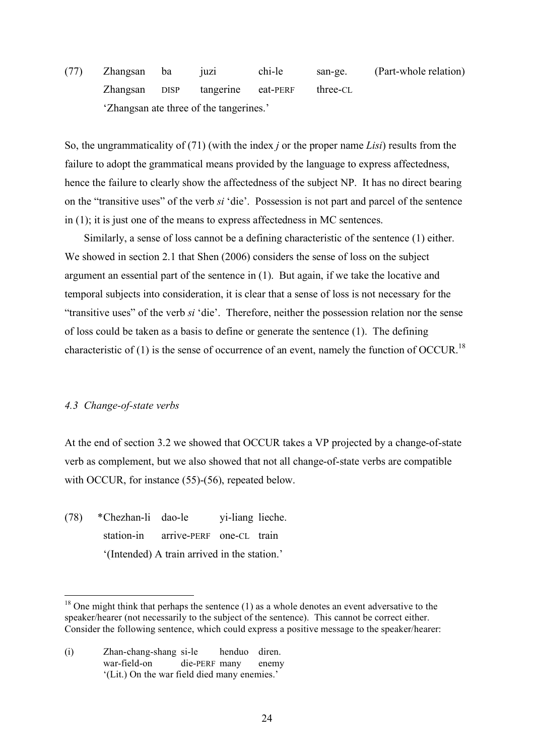(77) Zhangsan ba juzi chi-le san-ge. (Part-whole relation) Zhangsan DISP tangerine eat-PERF three-CL 'Zhangsan ate three of the tangerines.'

So, the ungrammaticality of (71) (with the index *j* or the proper name *Lisi*) results from the failure to adopt the grammatical means provided by the language to express affectedness, hence the failure to clearly show the affectedness of the subject NP. It has no direct bearing on the "transitive uses" of the verb *si* 'die'. Possession is not part and parcel of the sentence in (1); it is just one of the means to express affectedness in MC sentences.

Similarly, a sense of loss cannot be a defining characteristic of the sentence (1) either. We showed in section 2.1 that Shen (2006) considers the sense of loss on the subject argument an essential part of the sentence in (1). But again, if we take the locative and temporal subjects into consideration, it is clear that a sense of loss is not necessary for the "transitive uses" of the verb *si* 'die'. Therefore, neither the possession relation nor the sense of loss could be taken as a basis to define or generate the sentence (1). The defining characteristic of (1) is the sense of occurrence of an event, namely the function of OCCUR.<sup>18</sup>

## *4.3 Change-of-state verbs*

At the end of section 3.2 we showed that OCCUR takes a VP projected by a change-of-state verb as complement, but we also showed that not all change-of-state verbs are compatible with OCCUR, for instance (55)-(56), repeated below.

(78) \*Chezhan-li dao-le yi-liang lieche. station-in arrive-PERF one-CL train '(Intended) A train arrived in the station.'

(i) Zhan-chang-shang si-le henduo diren. war-field-on die-PERF many enemy '(Lit.) On the war field died many enemies.'

 $18$  One might think that perhaps the sentence (1) as a whole denotes an event adversative to the speaker/hearer (not necessarily to the subject of the sentence). This cannot be correct either. Consider the following sentence, which could express a positive message to the speaker/hearer: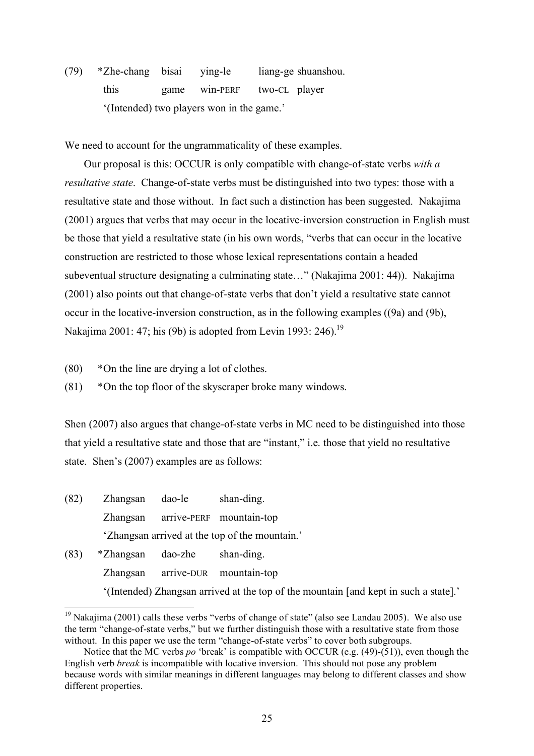(79) \*Zhe-chang bisai ying-le liang-ge shuanshou. this game win-PERF two-CL player '(Intended) two players won in the game.'

We need to account for the ungrammaticality of these examples.

Our proposal is this: OCCUR is only compatible with change-of-state verbs *with a resultative state*. Change-of-state verbs must be distinguished into two types: those with a resultative state and those without. In fact such a distinction has been suggested. Nakajima (2001) argues that verbs that may occur in the locative-inversion construction in English must be those that yield a resultative state (in his own words, "verbs that can occur in the locative construction are restricted to those whose lexical representations contain a headed subeventual structure designating a culminating state…" (Nakajima 2001: 44)). Nakajima (2001) also points out that change-of-state verbs that don't yield a resultative state cannot occur in the locative-inversion construction, as in the following examples ((9a) and (9b), Nakajima 2001: 47; his (9b) is adopted from Levin 1993: 246).<sup>19</sup>

- (80) \*On the line are drying a lot of clothes.
- (81) \*On the top floor of the skyscraper broke many windows.

Shen (2007) also argues that change-of-state verbs in MC need to be distinguished into those that yield a resultative state and those that are "instant," i.e. those that yield no resultative state. Shen's (2007) examples are as follows:

| (82) | Zhangsan  | dao-le  | shan-ding.                                                                           |
|------|-----------|---------|--------------------------------------------------------------------------------------|
|      | Zhangsan  |         | arrive-PERF mountain-top                                                             |
|      |           |         | 'Zhangsan arrived at the top of the mountain.'                                       |
| (83) | *Zhangsan | dao-zhe | shan-ding.                                                                           |
|      |           |         | Zhangsan arrive-DUR mountain-top                                                     |
|      |           |         | '(Intended) Zhangsan arrived at the top of the mountain [and kept in such a state].' |

 $19$  Nakaiima (2001) calls these verbs "verbs of change of state" (also see Landau 2005). We also use the term "change-of-state verbs," but we further distinguish those with a resultative state from those without. In this paper we use the term "change-of-state verbs" to cover both subgroups.

Notice that the MC verbs *po* 'break' is compatible with OCCUR (e.g. (49)-(51)), even though the English verb *break* is incompatible with locative inversion. This should not pose any problem because words with similar meanings in different languages may belong to different classes and show different properties.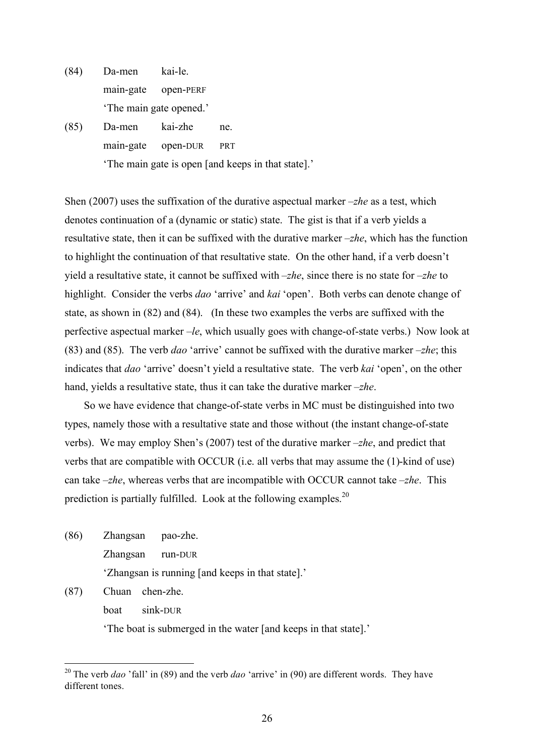- (84) Da-men kai-le. main-gate open-PERF 'The main gate opened.'
- (85) Da-men kai-zhe ne. main-gate open-DUR PRT 'The main gate is open [and keeps in that state].'

Shen (2007) uses the suffixation of the durative aspectual marker *–zhe* as a test, which denotes continuation of a (dynamic or static) state. The gist is that if a verb yields a resultative state, then it can be suffixed with the durative marker *–zhe*, which has the function to highlight the continuation of that resultative state. On the other hand, if a verb doesn't yield a resultative state, it cannot be suffixed with *–zhe*, since there is no state for *–zhe* to highlight. Consider the verbs *dao* 'arrive' and *kai* 'open'. Both verbs can denote change of state, as shown in (82) and (84). (In these two examples the verbs are suffixed with the perfective aspectual marker *–le*, which usually goes with change-of-state verbs.) Now look at (83) and (85). The verb *dao* 'arrive' cannot be suffixed with the durative marker *–zhe*; this indicates that *dao* 'arrive' doesn't yield a resultative state. The verb *kai* 'open', on the other hand, yields a resultative state, thus it can take the durative marker *–zhe*.

So we have evidence that change-of-state verbs in MC must be distinguished into two types, namely those with a resultative state and those without (the instant change-of-state verbs). We may employ Shen's (2007) test of the durative marker *–zhe*, and predict that verbs that are compatible with OCCUR (i.e. all verbs that may assume the (1)-kind of use) can take *–zhe*, whereas verbs that are incompatible with OCCUR cannot take *–zhe*. This prediction is partially fulfilled. Look at the following examples.<sup>20</sup>

(86) Zhangsan pao-zhe. Zhangsan run-DUR 'Zhangsan is running [and keeps in that state].'

(87) Chuan chen-zhe.

boat sink-DUR

'The boat is submerged in the water [and keeps in that state].'

 <sup>20</sup> The verb *dao* 'fall' in (89) and the verb *dao* 'arrive' in (90) are different words. They have different tones.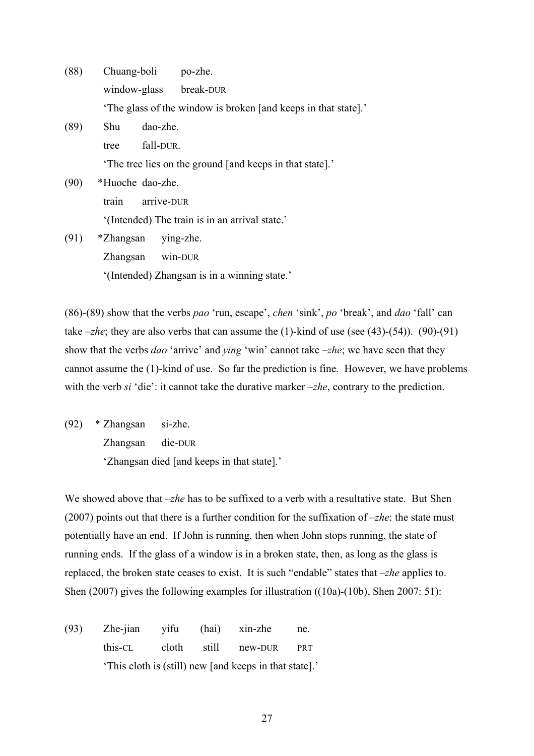| (88) | Chuang-boli po-zhe.    |                                                                |
|------|------------------------|----------------------------------------------------------------|
|      | window-glass break-DUR |                                                                |
|      |                        | 'The glass of the window is broken [and keeps in that state].' |
| (89) | dao-zhe.<br>Shu        |                                                                |
|      | fall-DUR.<br>tree      |                                                                |
|      |                        | The tree lies on the ground [and keeps in that state].         |
| (90) | *Huoche dao-zhe.       |                                                                |
|      | arrive-DUR<br>train    |                                                                |
|      |                        | '(Intended) The train is in an arrival state.'                 |
| (91) | *Zhangsan              | ying-zhe.                                                      |

Zhangsan win-DUR '(Intended) Zhangsan is in a winning state.'

(86)-(89) show that the verbs *pao* 'run, escape', *chen* 'sink', *po* 'break', and *dao* 'fall' can take  $-zhe$ ; they are also verbs that can assume the (1)-kind of use (see (43)-(54)). (90)-(91) show that the verbs *dao* 'arrive' and *ying* 'win' cannot take *–zhe*; we have seen that they cannot assume the (1)-kind of use. So far the prediction is fine. However, we have problems with the verb *si* 'die': it cannot take the durative marker *–zhe*, contrary to the prediction.

(92) \* Zhangsan si-zhe. Zhangsan die-DUR 'Zhangsan died [and keeps in that state].'

We showed above that *-zhe* has to be suffixed to a verb with a resultative state. But Shen (2007) points out that there is a further condition for the suffixation of *–zhe*: the state must potentially have an end. If John is running, then when John stops running, the state of running ends. If the glass of a window is in a broken state, then, as long as the glass is replaced, the broken state ceases to exist. It is such "endable" states that *–zhe* applies to. Shen (2007) gives the following examples for illustration ((10a)-(10b), Shen 2007: 51):

(93) Zhe-jian yifu (hai) xin-zhe ne. this-CL cloth still new-DUR PRT 'This cloth is (still) new [and keeps in that state].'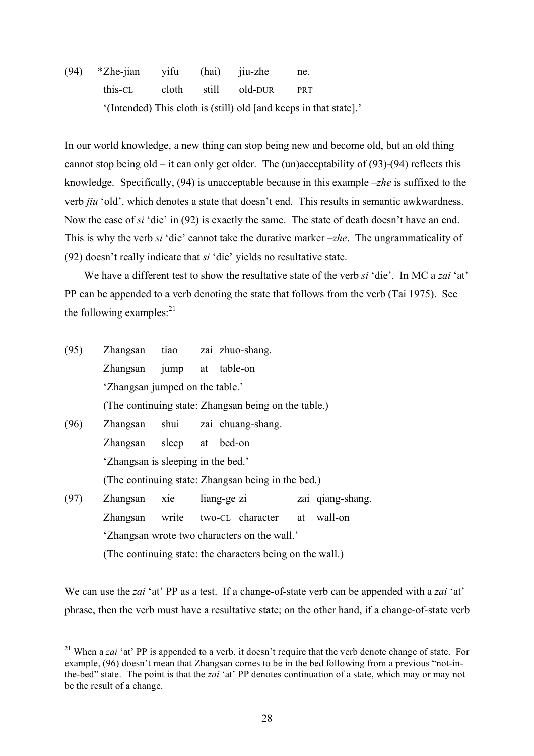(94) \*Zhe-jian yifu (hai) jiu-zhe ne. this-CL cloth still old-DUR PRT '(Intended) This cloth is (still) old [and keeps in that state].'

In our world knowledge, a new thing can stop being new and become old, but an old thing cannot stop being old – it can only get older. The (un)acceptability of  $(93)-(94)$  reflects this knowledge. Specifically, (94) is unacceptable because in this example *–zhe* is suffixed to the verb *jiu* 'old', which denotes a state that doesn't end. This results in semantic awkwardness. Now the case of *si* 'die' in (92) is exactly the same. The state of death doesn't have an end. This is why the verb *si* 'die' cannot take the durative marker *–zhe*. The ungrammaticality of (92) doesn't really indicate that *si* 'die' yields no resultative state.

We have a different test to show the resultative state of the verb *si* 'die'. In MC a *zai* 'at' PP can be appended to a verb denoting the state that follows from the verb (Tai 1975). See the following examples: $21$ 

(95) Zhangsan tiao zai zhuo-shang. Zhangsan jump at table-on 'Zhangsan jumped on the table.' (The continuing state: Zhangsan being on the table.) (96) Zhangsan shui zai chuang-shang. Zhangsan sleep at bed-on 'Zhangsan is sleeping in the bed.' (The continuing state: Zhangsan being in the bed.) (97) Zhangsan xie liang-ge zi zai qiang-shang. Zhangsan write two-CL character at wall-on 'Zhangsan wrote two characters on the wall.' (The continuing state: the characters being on the wall.)

We can use the *zai* 'at' PP as a test. If a change-of-state verb can be appended with a *zai* 'at' phrase, then the verb must have a resultative state; on the other hand, if a change-of-state verb

<sup>&</sup>lt;sup>21</sup> When a *zai* 'at' PP is appended to a verb, it doesn't require that the verb denote change of state. For example, (96) doesn't mean that Zhangsan comes to be in the bed following from a previous "not-inthe-bed" state. The point is that the *zai* 'at' PP denotes continuation of a state, which may or may not be the result of a change.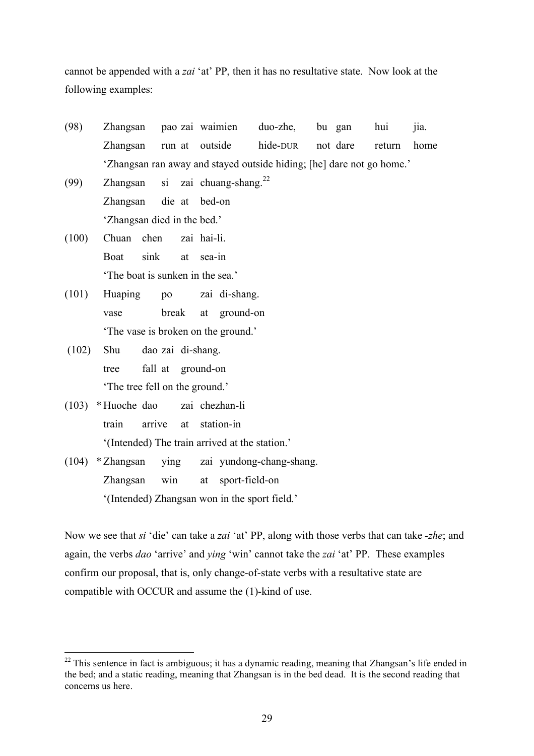cannot be appended with a *zai* 'at' PP, then it has no resultative state. Now look at the following examples:

- (98) Zhangsan pao zai waimien duo-zhe, bu gan hui jia. Zhangsan run at outside hide-DUR not dare return home 'Zhangsan ran away and stayed outside hiding; [he] dare not go home.'
- (99) Zhangsan si zai chuang-shang.<sup>22</sup> Zhangsan die at bed-on 'Zhangsan died in the bed.'
- (100) Chuan chen zai hai-li. Boat sink at sea-in 'The boat is sunken in the sea.'
- (101) Huaping po zai di-shang. vase break at ground-on 'The vase is broken on the ground.'
- (102) Shu dao zai di-shang. tree fall at ground-on 'The tree fell on the ground.'
- (103) \* Huoche dao zai chezhan-li train arrive at station-in '(Intended) The train arrived at the station.'
- (104) \* Zhangsan ying zai yundong-chang-shang. Zhangsan win at sport-field-on '(Intended) Zhangsan won in the sport field.'

Now we see that *si* 'die' can take a *zai* 'at' PP, along with those verbs that can take *-zhe*; and again, the verbs *dao* 'arrive' and *ying* 'win' cannot take the *zai* 'at' PP. These examples confirm our proposal, that is, only change-of-state verbs with a resultative state are compatible with OCCUR and assume the (1)-kind of use.

<sup>&</sup>lt;sup>22</sup> This sentence in fact is ambiguous; it has a dynamic reading, meaning that Zhangsan's life ended in the bed; and a static reading, meaning that Zhangsan is in the bed dead. It is the second reading that concerns us here.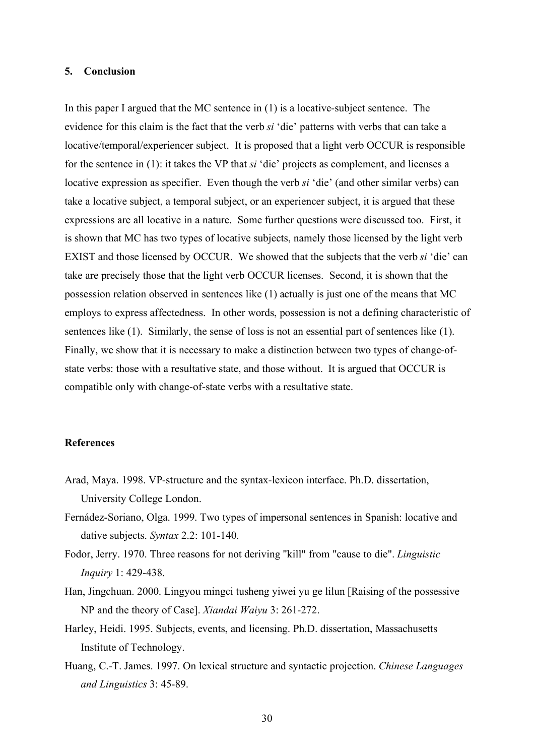## **5. Conclusion**

In this paper I argued that the MC sentence in (1) is a locative-subject sentence. The evidence for this claim is the fact that the verb *si* 'die' patterns with verbs that can take a locative/temporal/experiencer subject. It is proposed that a light verb OCCUR is responsible for the sentence in (1): it takes the VP that *si* 'die' projects as complement, and licenses a locative expression as specifier. Even though the verb *si* 'die' (and other similar verbs) can take a locative subject, a temporal subject, or an experiencer subject, it is argued that these expressions are all locative in a nature. Some further questions were discussed too. First, it is shown that MC has two types of locative subjects, namely those licensed by the light verb EXIST and those licensed by OCCUR. We showed that the subjects that the verb *si* 'die' can take are precisely those that the light verb OCCUR licenses. Second, it is shown that the possession relation observed in sentences like (1) actually is just one of the means that MC employs to express affectedness. In other words, possession is not a defining characteristic of sentences like (1). Similarly, the sense of loss is not an essential part of sentences like (1). Finally, we show that it is necessary to make a distinction between two types of change-ofstate verbs: those with a resultative state, and those without. It is argued that OCCUR is compatible only with change-of-state verbs with a resultative state.

## **References**

- Arad, Maya. 1998. VP-structure and the syntax-lexicon interface. Ph.D. dissertation, University College London.
- Fernádez-Soriano, Olga. 1999. Two types of impersonal sentences in Spanish: locative and dative subjects. *Syntax* 2.2: 101-140.
- Fodor, Jerry. 1970. Three reasons for not deriving "kill" from "cause to die". *Linguistic Inquiry* 1: 429-438.
- Han, Jingchuan. 2000. Lingyou mingci tusheng yiwei yu ge lilun [Raising of the possessive NP and the theory of Case]. *Xiandai Waiyu* 3: 261-272.
- Harley, Heidi. 1995. Subjects, events, and licensing. Ph.D. dissertation, Massachusetts Institute of Technology.
- Huang, C.-T. James. 1997. On lexical structure and syntactic projection. *Chinese Languages and Linguistics* 3: 45-89.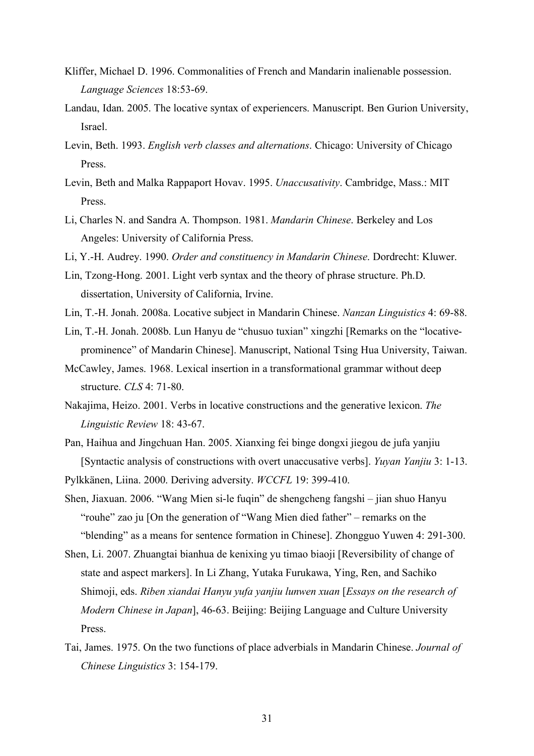- Kliffer, Michael D. 1996. Commonalities of French and Mandarin inalienable possession. *Language Sciences* 18:53-69.
- Landau, Idan. 2005. The locative syntax of experiencers. Manuscript. Ben Gurion University, Israel.
- Levin, Beth. 1993. *English verb classes and alternations*. Chicago: University of Chicago Press.
- Levin, Beth and Malka Rappaport Hovav. 1995. *Unaccusativity*. Cambridge, Mass.: MIT Press.
- Li, Charles N. and Sandra A. Thompson. 1981. *Mandarin Chinese*. Berkeley and Los Angeles: University of California Press.
- Li, Y.-H. Audrey. 1990. *Order and constituency in Mandarin Chinese*. Dordrecht: Kluwer.
- Lin, Tzong-Hong. 2001. Light verb syntax and the theory of phrase structure. Ph.D. dissertation, University of California, Irvine.
- Lin, T.-H. Jonah. 2008a. Locative subject in Mandarin Chinese. *Nanzan Linguistics* 4: 69-88.
- Lin, T.-H. Jonah. 2008b. Lun Hanyu de "chusuo tuxian" xingzhi [Remarks on the "locativeprominence" of Mandarin Chinese]. Manuscript, National Tsing Hua University, Taiwan.
- McCawley, James. 1968. Lexical insertion in a transformational grammar without deep structure. *CLS* 4: 71-80.
- Nakajima, Heizo. 2001. Verbs in locative constructions and the generative lexicon. *The Linguistic Review* 18: 43-67.
- Pan, Haihua and Jingchuan Han. 2005. Xianxing fei binge dongxi jiegou de jufa yanjiu [Syntactic analysis of constructions with overt unaccusative verbs]. *Yuyan Yanjiu* 3: 1-13.
- Pylkkänen, Liina. 2000. Deriving adversity. *WCCFL* 19: 399-410.
- Shen, Jiaxuan. 2006. "Wang Mien si-le fuqin" de shengcheng fangshi jian shuo Hanyu "rouhe" zao ju [On the generation of "Wang Mien died father" – remarks on the "blending" as a means for sentence formation in Chinese]. Zhongguo Yuwen 4: 291-300.
- Shen, Li. 2007. Zhuangtai bianhua de kenixing yu timao biaoji [Reversibility of change of state and aspect markers]. In Li Zhang, Yutaka Furukawa, Ying, Ren, and Sachiko Shimoji, eds. *Riben xiandai Hanyu yufa yanjiu lunwen xuan* [*Essays on the research of Modern Chinese in Japan*], 46-63. Beijing: Beijing Language and Culture University Press.
- Tai, James. 1975. On the two functions of place adverbials in Mandarin Chinese. *Journal of Chinese Linguistics* 3: 154-179.